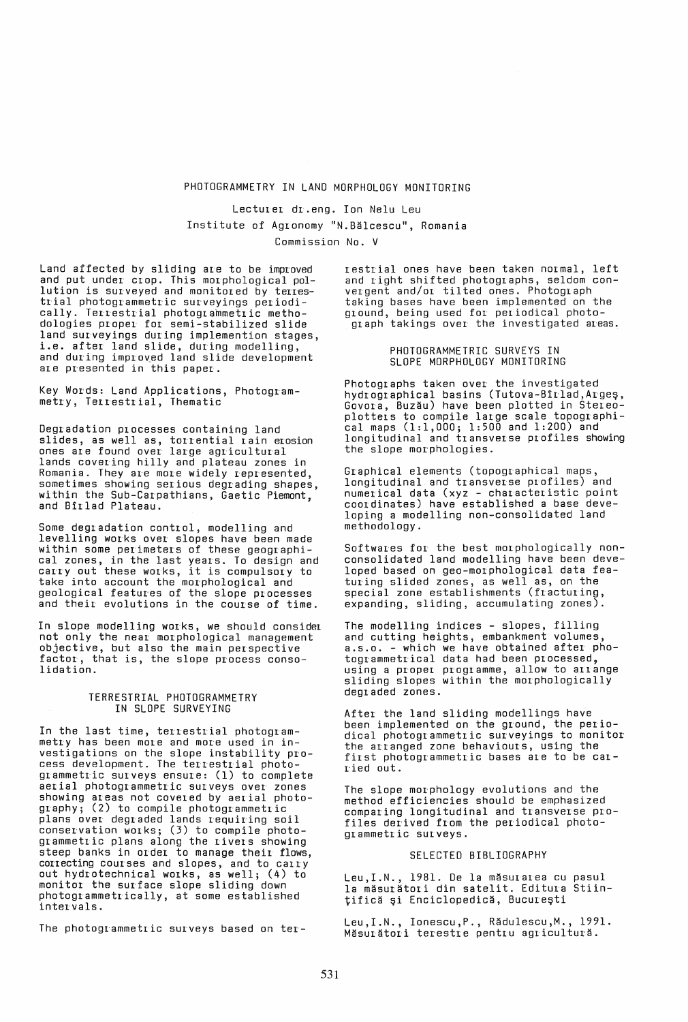## PHOTOGRAMMETRY IN LAND MORPHOLOGY MONITORING

Lecturer dr.eng. Ion Nelu Leu Institute of Agronomy "N.Balcescu", Romania Commission No. V

Land affected by sliding are to be improved and put under crop. This morphological pollution is surveyed and monitored by terrestrial photogrammetric surveyings periodi-Terrestrial photogrammetric methodologies proper for semi-stabilized slide land surveyings during implemention stages, i.e. after land slide, during modelling, and during improved land slide development are presented in this paper.

Key Words: Land Applications, Photogrammetry, Terrestrial, Thematic

Degradation processes containing land slides, as well as, torrential rain erosion ones are found over large agricultural<br>lands covering hilly and plateau zones in lands covering hilly and plateau zones in<br>Romania. They are more widely represented, sometimes showing serious degrading shapes, within the Sub-Carpathians, Gaetic Piemont, and Birlad Plateau.

Some degradation control, modelling and levelling works over slopes have been made within some perimeters of these geographical zones, in the last years. To design and carry out these works, it is compulsory to take into account the morphological and geological features of the slope processes and their evolutions in the course of time.

In slope modelling works, we should consider not only the near morphological management objective, but also the main perspective factor, that is, the slope process consolidation.

## TERRESTRIAL PHOTOGRAMMETRY IN SLOPE SURVEYING

In the last time, terrestrial photogrammetry has been more and more used in investigations on the slope instability process development. The terrestrial photogrammetric surveys ensure: (1) to complete aerial photogrammetric surveys over zones showing areas not covered by aerial photography; (2) to compile photogrammetric plans over degraded lands requiring soil conservation works; (3) to compile photogrammetric plans along the rivers showing steep banks in order to manage their flows, correcting courses and slopes, and to carry out hydrotechnical works, as well; (4) to monitor the surface slope sliding down photogrammetrically, at some established intervals.

The photogrammetric surveys based on ter-

restrial ones have been taken normal, left and right shifted photographs, seldom convergent and/or tilted ones. Photograph taking bases have been implemented on the ground, being used for periodical photograph takings over the investigated areas.

## PHOTOGRAMMETRIC SURVEYS IN SLOPE MORPHOLOGY MONITORING

Photographs taken over the investigated hydrographical basins (Tutova-Bîrlad,Argeș, Govora, Buzau) have been plotted in Stereoplotters to compile large scale topographi-<br>cal maps (1:1,000; 1:500 and 1:200) and longitudinal and transverse profiles showing the slope morphologies.

Graphical elements (topographical maps, longitudinal and transverse profiles) and numerical data (xyz - characteristic point coordinates) have established a base developing a modelling non-consolidated land methodology.

Softwares for the best morphologically nonconsolidated land modelling have been developed based on geo-morphological data featuring slided zones, as well as, on the special zone establishments (fracturing, expanding, sliding, accumulating zones).

The modelling indices - slopes, filling and cutting heights, embankment volumes, a.s.o. - which we have obtained after photogrammetrical data had been processed, using a proper programme, allow to arrange sliding slopes within the morphologically degraded zones.

After the land sliding modellings have<br>been implemented on the ground, the periodical photogrammetric surveyings to monitor the arranged zone behaviours, using the first photogrammetric bases are to be carr'ied out.

The slope morphology evolutions and the method efficiencies should be emphasized comparing longitudinal and transverse profiles derived from the periodical photogrammetric surveys.

## SELECTED BIBLIOGRAPHY

Leu, I.N., 1981. De la măsurarea cu pasul la măsurători din satelit. Editura Stiintifică și Enciclopedică, București

Leu,I.N., Ionescu,P., Radulescu,M., 1991. Măsurători terestre pentru agricultură.